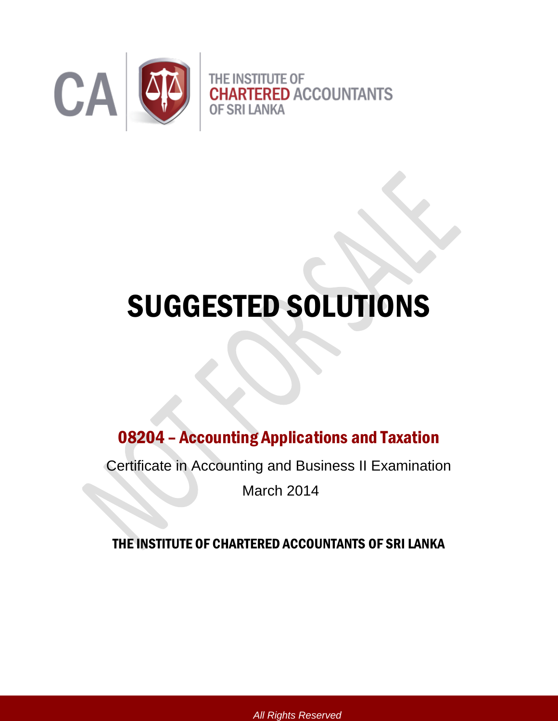

## SUGGESTED SOLUTIONS

### 08204 – Accounting Applications and Taxation

Certificate in Accounting and Business II Examination

March 2014

#### THE INSTITUTE OF CHARTERED ACCOUNTANTS OF SRI LANKA

*All Rights Reserved*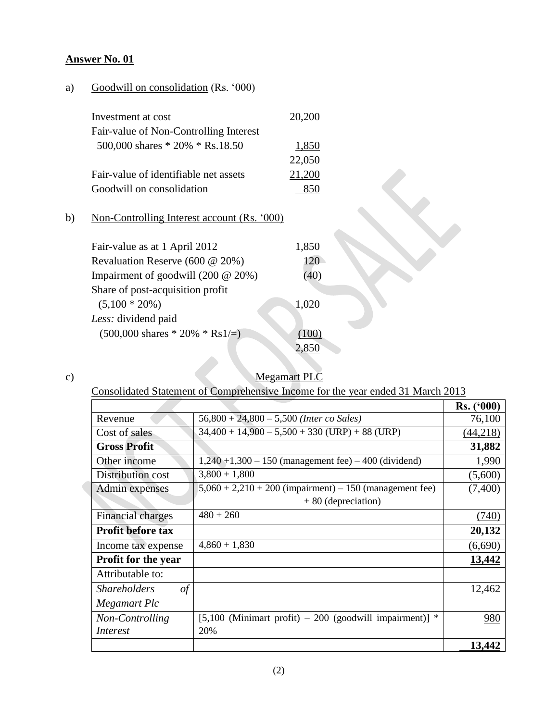#### a) Goodwill on consolidation (Rs. '000)

| Investment at cost                     | 20,200 |
|----------------------------------------|--------|
| Fair-value of Non-Controlling Interest |        |
| 500,000 shares $*$ 20% $*$ Rs.18.50    | 1,850  |
|                                        | 22,050 |
| Fair-value of identifiable net assets  | 21,200 |
| Goodwill on consolidation              |        |
|                                        |        |

#### b) Non-Controlling Interest account (Rs. '000)

| Fair-value as at 1 April 2012                    | 1,850 |  |
|--------------------------------------------------|-------|--|
| Revaluation Reserve (600 @ 20%)                  | 120   |  |
| Impairment of goodwill $(200 \t@ 20\%)$          | (40)  |  |
| Share of post-acquisition profit                 |       |  |
| $(5,100 * 20\%)$                                 | 1,020 |  |
| Less: dividend paid                              |       |  |
| $(500,000 \text{ shares} * 20\% * \text{Rs1}/=)$ | (100) |  |
|                                                  |       |  |

c) Megamart PLC

Consolidated Statement of Comprehensive Income for the year ended 31 March 2013

|                                   |                                                           | Rs. (°000) |
|-----------------------------------|-----------------------------------------------------------|------------|
| Revenue                           | $56,800 + 24,800 - 5,500$ (Inter co Sales)                | 76,100     |
| Cost of sales                     | (44,218)                                                  |            |
| <b>Gross Profit</b>               |                                                           | 31,882     |
| Other income                      | $1,240 + 1,300 - 150$ (management fee) $-400$ (dividend)  | 1,990      |
| Distribution cost                 | $3,800 + 1,800$                                           | (5,600)    |
| Admin expenses                    | $5,060 + 2,210 + 200$ (impairment) – 150 (management fee) | (7,400)    |
|                                   | $+80$ (depreciation)                                      |            |
| <b>Financial charges</b>          | $480 + 260$                                               | (740)      |
| <b>Profit before tax</b>          |                                                           | 20,132     |
| Income tax expense                | $4,860 + 1,830$                                           | (6,690)    |
| <b>Profit for the year</b>        |                                                           | 13,442     |
| Attributable to:                  |                                                           |            |
| $\sigma f$<br><b>Shareholders</b> |                                                           | 12,462     |
| Megamart Plc                      |                                                           |            |
| Non-Controlling                   | $[5,100$ (Minimart profit) – 200 (goodwill impairment)] * | 980        |
| <i>Interest</i>                   | 20%                                                       |            |
|                                   |                                                           | 13,442     |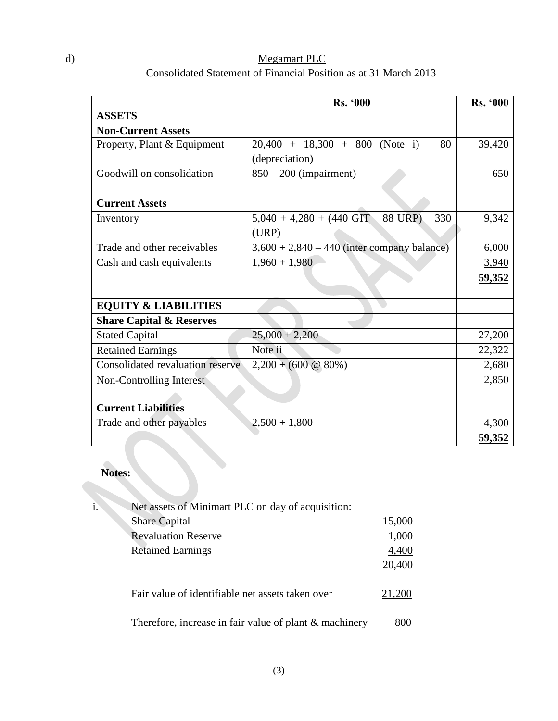| d) | Megamart PLC                                                     |
|----|------------------------------------------------------------------|
|    | Consolidated Statement of Financial Position as at 31 March 2013 |

|                                     | <b>Rs. '000</b>                               | <b>Rs. '000</b> |
|-------------------------------------|-----------------------------------------------|-----------------|
| <b>ASSETS</b>                       |                                               |                 |
| <b>Non-Current Assets</b>           |                                               |                 |
| Property, Plant & Equipment         | $20,400 + 18,300 + 800$ (Note i) - 80         | 39,420          |
|                                     | (depreciation)                                |                 |
| Goodwill on consolidation           | $850 - 200$ (impairment)                      | 650             |
|                                     |                                               |                 |
| <b>Current Assets</b>               |                                               |                 |
| Inventory                           | $5,040 + 4,280 + (440$ GIT - 88 URP) - 330    | 9,342           |
|                                     | (URP)                                         |                 |
| Trade and other receivables         | $3,600 + 2,840 - 440$ (inter company balance) | 6,000           |
| Cash and cash equivalents           | $1,960 + 1,980$                               | 3,940           |
|                                     |                                               | <u>59,352</u>   |
|                                     |                                               |                 |
| <b>EQUITY &amp; LIABILITIES</b>     |                                               |                 |
| <b>Share Capital &amp; Reserves</b> |                                               |                 |
| <b>Stated Capital</b>               | $25,000 + 2,200$                              | 27,200          |
| <b>Retained Earnings</b>            | Note ii                                       | 22,322          |
| Consolidated revaluation reserve    | $2,200 + (600 \& 80\%)$                       | 2,680           |
| Non-Controlling Interest            |                                               | 2,850           |
|                                     |                                               |                 |
| <b>Current Liabilities</b>          |                                               |                 |
| Trade and other payables            | $2,500 + 1,800$                               | 4,300           |
|                                     |                                               | <u>59,352</u>   |

# **Notes:**

| i. | Net assets of Minimart PLC on day of acquisition:        |        |
|----|----------------------------------------------------------|--------|
|    | <b>Share Capital</b>                                     | 15,000 |
|    | <b>Revaluation Reserve</b>                               | 1,000  |
|    | <b>Retained Earnings</b>                                 | 4,400  |
|    |                                                          | 20,400 |
|    | Fair value of identifiable net assets taken over         | 21,200 |
|    | Therefore, increase in fair value of plant $&$ machinery | 800    |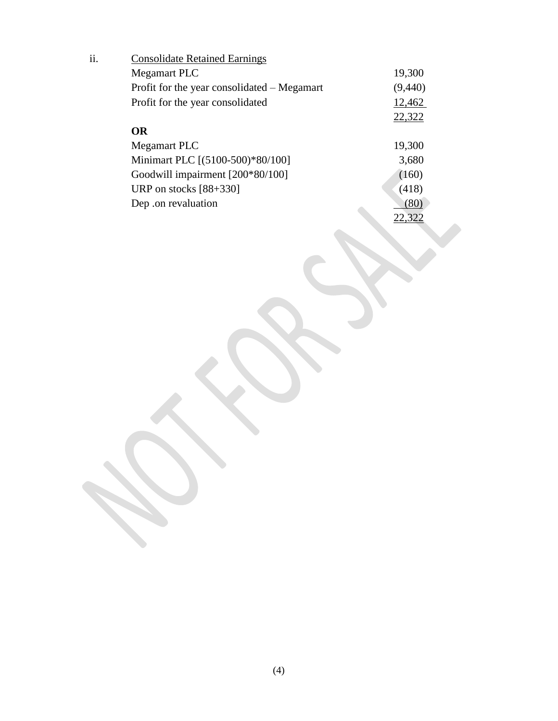| ii. | <b>Consolidate Retained Earnings</b>        |         |
|-----|---------------------------------------------|---------|
|     | <b>Megamart PLC</b>                         | 19,300  |
|     | Profit for the year consolidated – Megamart | (9,440) |
|     | Profit for the year consolidated            | 12,462  |
|     |                                             | 22,322  |
|     | <b>OR</b>                                   |         |
|     | <b>Megamart PLC</b>                         | 19,300  |
|     | Minimart PLC [(5100-500)*80/100]            | 3,680   |
|     | Goodwill impairment [200*80/100]            | (160)   |
|     | URP on stocks $[88+330]$                    | (418)   |
|     | Dep .on revaluation                         | (80)    |
|     |                                             | 22,322  |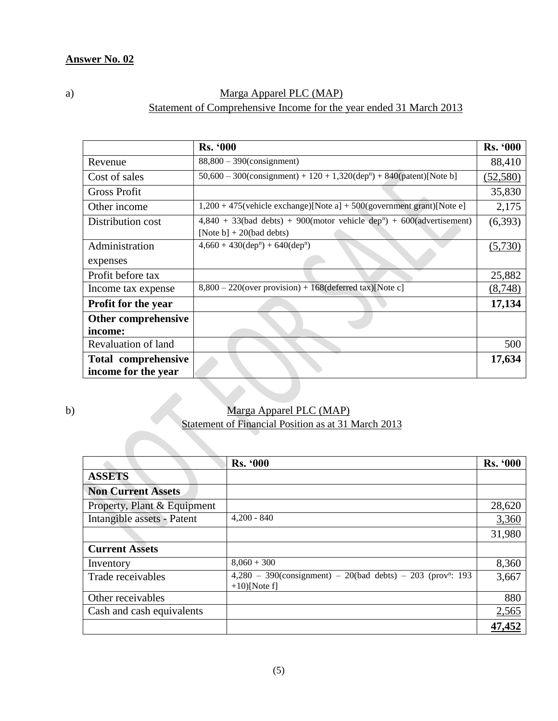#### a) Marga Apparel PLC (MAP) Statement of Comprehensive Income for the year ended 31 March 2013

|                                            | <b>Rs. '000</b>                                                                                                    | <b>Rs. '000</b> |
|--------------------------------------------|--------------------------------------------------------------------------------------------------------------------|-----------------|
| Revenue                                    | $88,800 - 390$ (consignment)                                                                                       | 88,410          |
| Cost of sales                              | $50,600 - 300$ (consignment) + 120 + 1,320(dep <sup>n</sup> ) + 840(patent)[Note b]                                | (52, 580)       |
| <b>Gross Profit</b>                        |                                                                                                                    | 35,830          |
| Other income                               | $1,200 + 475$ (vehicle exchange)[Note a] + 500(government grant)[Note e]                                           | 2,175           |
| Distribution cost                          | $4,840 + 33$ (bad debts) + 900(motor vehicle dep <sup>n</sup> ) + 600(advertisement)<br>[Note b] $+20$ (bad debts) | (6,393)         |
| Administration                             | $4,660 + 430(\text{dep}^n) + 640(\text{dep}^n)$                                                                    | (5,730)         |
| expenses                                   |                                                                                                                    |                 |
| Profit before tax                          |                                                                                                                    | 25,882          |
| Income tax expense                         | $8,800 - 220$ (over provision) + 168(deferred tax)[Note c]                                                         | (8,748)         |
| <b>Profit for the year</b>                 |                                                                                                                    | 17,134          |
| Other comprehensive                        |                                                                                                                    |                 |
| income:                                    |                                                                                                                    |                 |
| Revaluation of land                        |                                                                                                                    | 500             |
| Total comprehensive<br>income for the year |                                                                                                                    | 17,634          |

#### b) Marga Apparel PLC (MAP) Statement of Financial Position as at 31 March 2013

|                             | <b>Rs. '000</b>                                                                                | <b>Rs. '000</b> |
|-----------------------------|------------------------------------------------------------------------------------------------|-----------------|
| <b>ASSETS</b>               |                                                                                                |                 |
| <b>Non Current Assets</b>   |                                                                                                |                 |
| Property, Plant & Equipment |                                                                                                | 28,620          |
| Intangible assets - Patent  | $4,200 - 840$                                                                                  | 3,360           |
|                             |                                                                                                | 31,980          |
| <b>Current Assets</b>       |                                                                                                |                 |
| Inventory                   | $8,060 + 300$                                                                                  | 8,360           |
| Trade receivables           | $4,280 - 390$ (consignment) - 20(bad debts) - 203 (prov <sup>n</sup> : 193<br>$+10$ ) [Note f] | 3,667           |
| Other receivables           |                                                                                                | 880             |
| Cash and cash equivalents   |                                                                                                | 2,565           |
|                             |                                                                                                | 47,452          |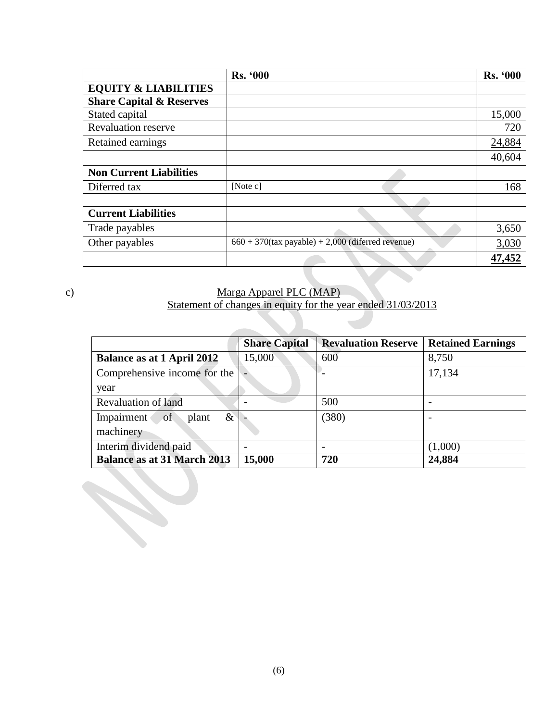|                                     | <b>Rs. '000</b>                                      | <b>Rs. '000</b> |
|-------------------------------------|------------------------------------------------------|-----------------|
| <b>EQUITY &amp; LIABILITIES</b>     |                                                      |                 |
| <b>Share Capital &amp; Reserves</b> |                                                      |                 |
| Stated capital                      |                                                      | 15,000          |
| <b>Revaluation reserve</b>          |                                                      | 720             |
| Retained earnings                   |                                                      | 24,884          |
|                                     |                                                      | 40,604          |
| <b>Non Current Liabilities</b>      |                                                      |                 |
| Diferred tax                        | [Note $c$ ]                                          | 168             |
|                                     |                                                      |                 |
| <b>Current Liabilities</b>          |                                                      |                 |
| Trade payables                      |                                                      | 3,650           |
| Other payables                      | $660 + 370$ (tax payable) + 2,000 (diferred revenue) | 3,030           |
|                                     |                                                      | 47,452          |

#### c) Marga Apparel PLC (MAP)

#### Statement of changes in equity for the year ended 31/03/2013

|                                    | <b>Share Capital</b> | <b>Revaluation Reserve</b> | <b>Retained Earnings</b> |
|------------------------------------|----------------------|----------------------------|--------------------------|
| <b>Balance as at 1 April 2012</b>  | 15,000               | 600                        | 8,750                    |
| Comprehensive income for the       |                      |                            | 17,134                   |
| year                               |                      |                            |                          |
| <b>Revaluation of land</b>         |                      | 500                        |                          |
| $\&$<br>Impairment<br>of<br>plant  |                      | (380)                      |                          |
| machinery                          |                      |                            |                          |
| Interim dividend paid              |                      |                            | (1,000)                  |
| <b>Balance as at 31 March 2013</b> | 15,000               | 720                        | 24,884                   |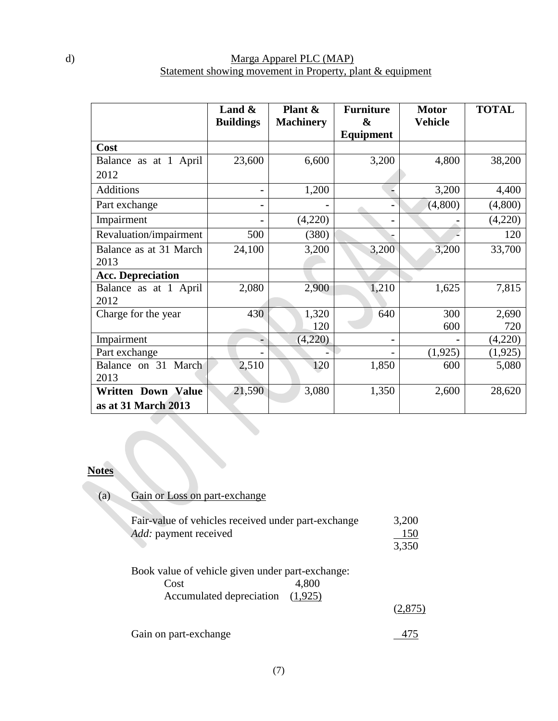#### d) Marga Apparel PLC (MAP) Statement showing movement in Property, plant & equipment

|                                | Land $\&$<br><b>Buildings</b> | Plant &<br><b>Machinery</b> | <b>Furniture</b><br>& | <b>Motor</b><br><b>Vehicle</b> | <b>TOTAL</b> |
|--------------------------------|-------------------------------|-----------------------------|-----------------------|--------------------------------|--------------|
|                                |                               |                             | Equipment             |                                |              |
| Cost                           |                               |                             |                       |                                |              |
| Balance as at 1 April          | 23,600                        | 6,600                       | 3,200                 | 4,800                          | 38,200       |
| 2012                           |                               |                             |                       |                                |              |
| <b>Additions</b>               | $\blacksquare$                | 1,200                       |                       | 3,200                          | 4,400        |
| Part exchange                  |                               |                             |                       | (4,800)                        | (4,800)      |
| Impairment                     |                               | (4,220)                     |                       |                                | (4,220)      |
| Revaluation/impairment         | 500                           | (380)                       |                       |                                | 120          |
| Balance as at 31 March<br>2013 | 24,100                        | 3,200                       | 3,200                 | 3,200                          | 33,700       |
| <b>Acc. Depreciation</b>       |                               |                             |                       |                                |              |
| Balance as at 1 April<br>2012  | 2,080                         | 2,900                       | 1,210                 | 1,625                          | 7,815        |
| Charge for the year            | 430                           | 1,320                       | 640                   | 300                            | 2,690        |
|                                |                               | 120                         |                       | 600                            | 720          |
| Impairment                     |                               | (4,220)                     |                       |                                | (4,220)      |
| Part exchange                  |                               |                             |                       | (1,925)                        | (1, 925)     |
| Balance on 31 March            | 2,510                         | 120                         | 1,850                 | 600                            | 5,080        |
| 2013                           |                               |                             |                       |                                |              |
| <b>Written Down Value</b>      | 21,590                        | 3,080                       | 1,350                 | 2,600                          | 28,620       |
| as at 31 March 2013            |                               |                             |                       |                                |              |

#### **Notes**

| (a) | Gain or Loss on part-exchange                                                                            |                       |  |  |  |
|-----|----------------------------------------------------------------------------------------------------------|-----------------------|--|--|--|
|     | Fair-value of vehicles received under part-exchange<br>Add: payment received                             | 3,200<br>150<br>3,350 |  |  |  |
|     | Book value of vehicle given under part-exchange:<br>4,800<br>Cost<br>Accumulated depreciation<br>(1,925) | (2.875)               |  |  |  |
|     | Gain on part-exchange                                                                                    |                       |  |  |  |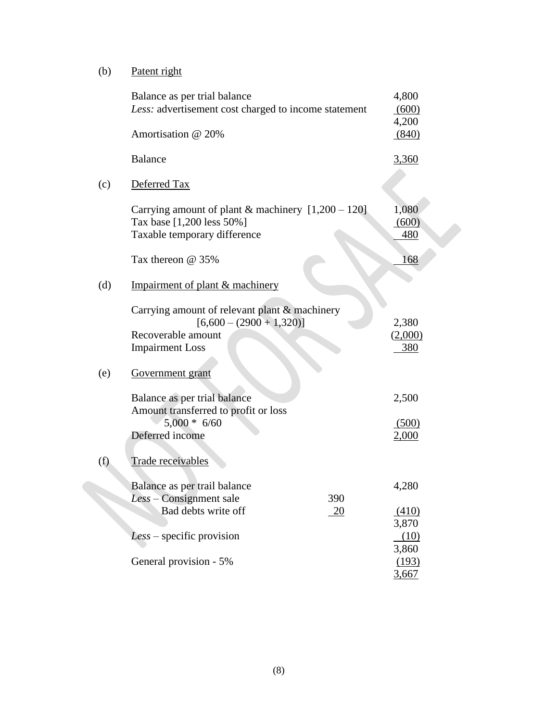(b) Patent right

|     | Balance as per trial balance<br>Less: advertisement cost charged to income statement                                        | 4,800<br>(600)          |
|-----|-----------------------------------------------------------------------------------------------------------------------------|-------------------------|
|     | Amortisation @ 20%                                                                                                          | 4,200<br>(840)          |
|     | <b>Balance</b>                                                                                                              | <u>3,360</u>            |
| (c) | Deferred Tax                                                                                                                |                         |
|     | Carrying amount of plant & machinery $[1,200 - 120]$<br>Tax base [1,200 less 50%]<br>Taxable temporary difference           | 1,080<br>(600)<br>480   |
|     | Tax thereon @ 35%                                                                                                           | 168                     |
| (d) | Impairment of plant & machinery                                                                                             |                         |
|     | Carrying amount of relevant plant & machinery<br>$[6,600 - (2900 + 1,320)]$<br>Recoverable amount<br><b>Impairment Loss</b> | 2,380<br>(2,000)<br>380 |
| (e) | Government grant                                                                                                            |                         |
|     | Balance as per trial balance<br>Amount transferred to profit or loss                                                        | 2,500                   |
|     | $5,000 * 6/60$<br>Deferred income                                                                                           | (500)<br>2,000          |
| (f) | Trade receivables                                                                                                           |                         |
|     | Balance as per trail balance<br>Less - Consignment sale<br>390<br>Bad debts write off<br><u>20</u>                          | 4,280<br>(410)          |
|     | $Less - specific provision$                                                                                                 | 3,870<br>(10)           |
|     | General provision - 5%                                                                                                      | 3,860<br>(193)<br>3,667 |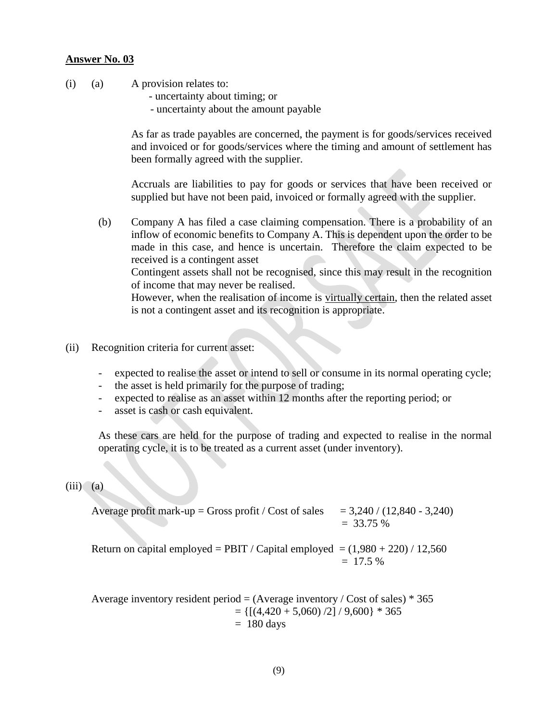- (i) (a) A provision relates to:
	- uncertainty about timing; or
	- uncertainty about the amount payable

As far as trade payables are concerned, the payment is for goods/services received and invoiced or for goods/services where the timing and amount of settlement has been formally agreed with the supplier.

Accruals are liabilities to pay for goods or services that have been received or supplied but have not been paid, invoiced or formally agreed with the supplier.

(b) Company A has filed a case claiming compensation. There is a probability of an inflow of economic benefits to Company A. This is dependent upon the order to be made in this case, and hence is uncertain. Therefore the claim expected to be received is a contingent asset Contingent assets shall not be recognised, since this may result in the recognition

of income that may never be realised. However, when the realisation of income is virtually certain, then the related asset is not a contingent asset and its recognition is appropriate.

- (ii) Recognition criteria for current asset:
	- expected to realise the asset or intend to sell or consume in its normal operating cycle;
	- the asset is held primarily for the purpose of trading;
	- expected to realise as an asset within 12 months after the reporting period; or
	- asset is cash or cash equivalent.

As these cars are held for the purpose of trading and expected to realise in the normal operating cycle, it is to be treated as a current asset (under inventory).

#### $(iii)$   $(a)$

Average profit mark-up = Gross profit / Cost of sales 
$$
= 3,240 / (12,840 - 3,240)
$$

$$
= 33.75 %
$$

Return on capital employed = PBIT / Capital employed =  $(1,980 + 220)$  / 12,560  $= 17.5 %$ 

Average inventory resident period =  $(Average inventory / Cost of sales) * 365$  $= \{[(4,420 + 5,060)/2]/9,600\} * 365$  $= 180$  days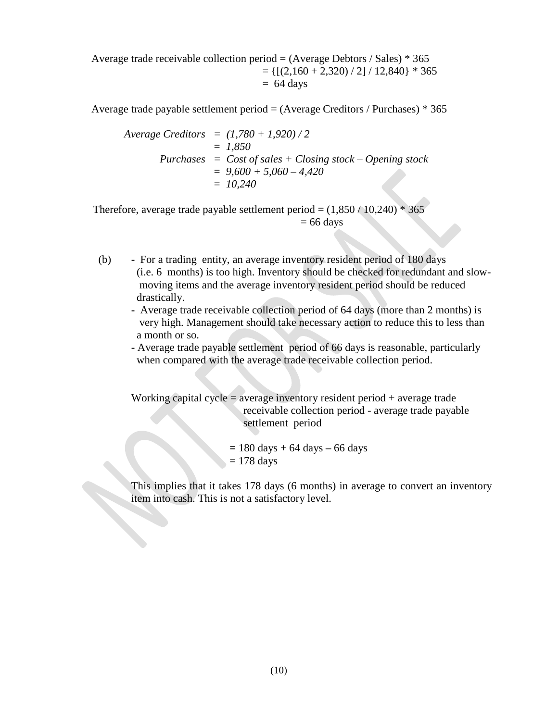Average trade receivable collection period =  $(Average \, Debtors / Sales) * 365$  $= \{[(2,160 + 2,320) / 2] / 12,840\} * 365$  $= 64 \text{ days}$ 

Average trade payable settlement period  $=$  (Average Creditors / Purchases)  $*$  365

$$
Average Creditors = (1,780 + 1,920) / 2
$$
  
= 1,850  

$$
Purchases = Cost of sales + Closing stock - Opening stock
$$
  
= 9,600 + 5,060 - 4,420  
= 10,240

Therefore, average trade payable settlement period =  $(1,850 / 10,240)$  \* 365  $= 66$  days

- (b) For a trading entity, an average inventory resident period of 180 days (i.e. 6 months) is too high. Inventory should be checked for redundant and slow moving items and the average inventory resident period should be reduced drastically.
	- **-** Average trade receivable collection period of 64 days (more than 2 months) is very high. Management should take necessary action to reduce this to less than a month or so.
	- **-** Average trade payable settlement period of 66 days is reasonable, particularly when compared with the average trade receivable collection period.

Working capital cycle  $=$  average inventory resident period  $+$  average trade receivable collection period - average trade payable settlement period

$$
= 180 \text{ days} + 64 \text{ days} - 66 \text{ days}
$$

$$
= 178 \text{ days}
$$

This implies that it takes 178 days (6 months) in average to convert an inventory item into cash. This is not a satisfactory level.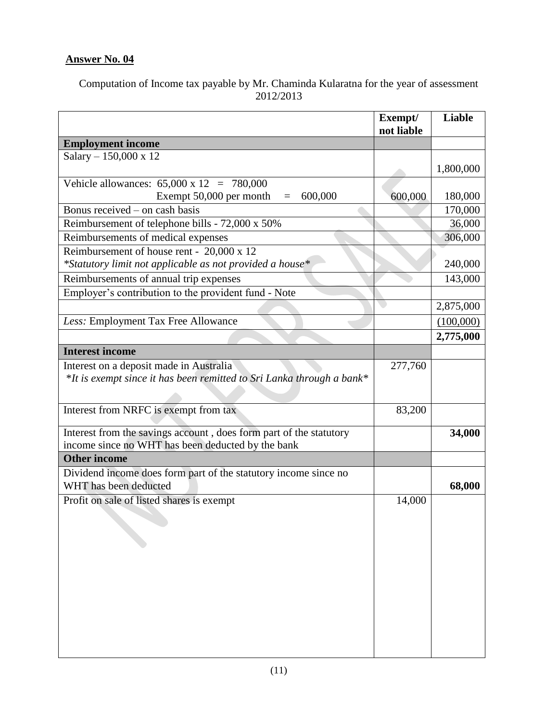Computation of Income tax payable by Mr. Chaminda Kularatna for the year of assessment 2012/2013

|                                                                                                                         | Exempt/<br>not liable | Liable    |
|-------------------------------------------------------------------------------------------------------------------------|-----------------------|-----------|
| <b>Employment income</b>                                                                                                |                       |           |
| Salary $- 150,000 \times 12$                                                                                            |                       | 1,800,000 |
| Vehicle allowances: $65,000 \times 12 = 780,000$                                                                        |                       |           |
| Exempt 50,000 per month<br>600,000<br>$\equiv$                                                                          | 600,000               | 180,000   |
| Bonus received – on cash basis                                                                                          |                       | 170,000   |
| Reimbursement of telephone bills - 72,000 x 50%                                                                         |                       | 36,000    |
| Reimbursements of medical expenses                                                                                      |                       | 306,000   |
| Reimbursement of house rent - 20,000 x 12                                                                               |                       |           |
| *Statutory limit not applicable as not provided a house*                                                                |                       | 240,000   |
| Reimbursements of annual trip expenses                                                                                  |                       | 143,000   |
| Employer's contribution to the provident fund - Note                                                                    |                       |           |
|                                                                                                                         |                       | 2,875,000 |
| Less: Employment Tax Free Allowance                                                                                     |                       | (100,000) |
|                                                                                                                         |                       | 2,775,000 |
| <b>Interest income</b>                                                                                                  |                       |           |
| Interest on a deposit made in Australia                                                                                 | 277,760               |           |
| *It is exempt since it has been remitted to Sri Lanka through a bank*                                                   |                       |           |
| Interest from NRFC is exempt from tax                                                                                   | 83,200                |           |
|                                                                                                                         |                       |           |
| Interest from the savings account, does form part of the statutory<br>income since no WHT has been deducted by the bank |                       | 34,000    |
| <b>Other income</b>                                                                                                     |                       |           |
| Dividend income does form part of the statutory income since no<br>WHT has been deducted                                |                       | 68,000    |
| Profit on sale of listed shares is exempt                                                                               | 14,000                |           |
|                                                                                                                         |                       |           |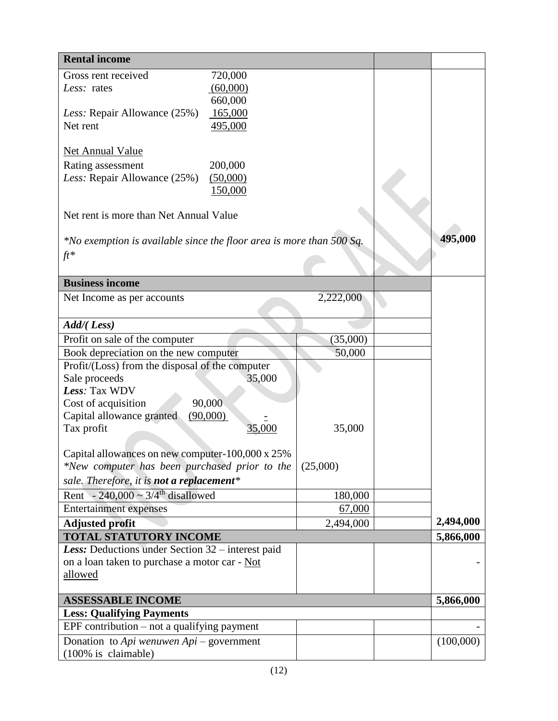| <b>Rental income</b>                                                                              |          |           |  |           |  |
|---------------------------------------------------------------------------------------------------|----------|-----------|--|-----------|--|
| Gross rent received                                                                               | 720,000  |           |  |           |  |
| Less: rates                                                                                       | (60,000) |           |  |           |  |
|                                                                                                   | 660,000  |           |  |           |  |
| Less: Repair Allowance (25%)                                                                      | 165,000  |           |  |           |  |
| Net rent                                                                                          | 495,000  |           |  |           |  |
|                                                                                                   |          |           |  |           |  |
| <b>Net Annual Value</b>                                                                           |          |           |  |           |  |
| Rating assessment                                                                                 | 200,000  |           |  |           |  |
| Less: Repair Allowance (25%)                                                                      | (50,000) |           |  |           |  |
|                                                                                                   | 150,000  |           |  |           |  |
| Net rent is more than Net Annual Value                                                            |          |           |  |           |  |
|                                                                                                   |          |           |  |           |  |
| $*$ No exemption is available since the floor area is more than 500 Sq.                           |          |           |  | 495,000   |  |
| $ft*$                                                                                             |          |           |  |           |  |
|                                                                                                   |          |           |  |           |  |
| <b>Business income</b>                                                                            |          |           |  |           |  |
| Net Income as per accounts                                                                        |          | 2,222,000 |  |           |  |
|                                                                                                   |          |           |  |           |  |
| Add/(Less)                                                                                        |          |           |  |           |  |
| Profit on sale of the computer                                                                    |          | (35,000)  |  |           |  |
| Book depreciation on the new computer                                                             |          | 50,000    |  |           |  |
| Profit/(Loss) from the disposal of the computer                                                   |          |           |  |           |  |
| Sale proceeds                                                                                     |          |           |  |           |  |
| Less: Tax WDV                                                                                     |          |           |  |           |  |
| Cost of acquisition                                                                               | 90,000   |           |  |           |  |
| Capital allowance granted<br>(90,000)                                                             |          |           |  |           |  |
| Tax profit                                                                                        | 35,000   | 35,000    |  |           |  |
|                                                                                                   |          |           |  |           |  |
| Capital allowances on new computer-100,000 x 25%<br>*New computer has been purchased prior to the |          | (25,000)  |  |           |  |
|                                                                                                   |          |           |  |           |  |
| sale. Therefore, it is not a replacement*                                                         |          |           |  |           |  |
| Rent - 240,000 ~ $3/4$ <sup>th</sup> disallowed                                                   |          | 180,000   |  |           |  |
| <b>Entertainment expenses</b>                                                                     |          | 67,000    |  | 2,494,000 |  |
| <b>Adjusted profit</b><br><b>TOTAL STATUTORY INCOME</b>                                           |          | 2,494,000 |  |           |  |
| Less: Deductions under Section 32 – interest paid                                                 |          |           |  | 5,866,000 |  |
| on a loan taken to purchase a motor car - Not                                                     |          |           |  |           |  |
| allowed                                                                                           |          |           |  |           |  |
|                                                                                                   |          |           |  |           |  |
| <b>ASSESSABLE INCOME</b>                                                                          |          |           |  | 5,866,000 |  |
| <b>Less: Qualifying Payments</b>                                                                  |          |           |  |           |  |
| EPF contribution $-$ not a qualifying payment                                                     |          |           |  |           |  |
| Donation to Api wenuwen $Api$ – government                                                        |          |           |  | (100,000) |  |
| (100% is claimable)                                                                               |          |           |  |           |  |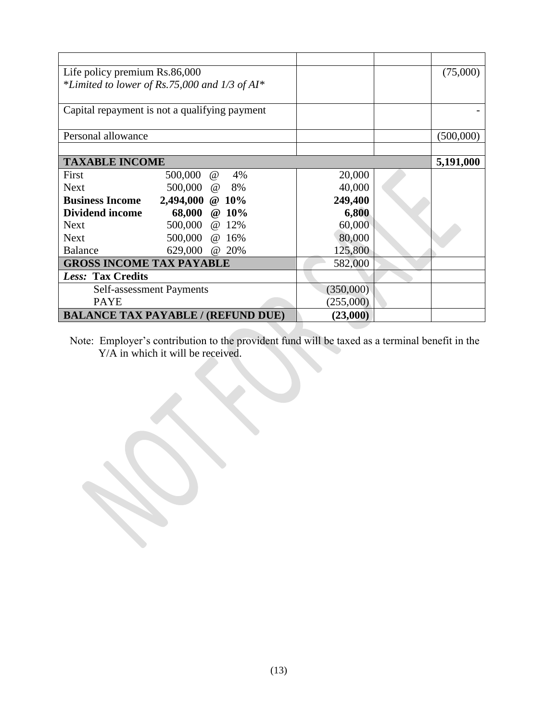| Life policy premium Rs.86,000                 |                 |          |    | (75,000)  |           |
|-----------------------------------------------|-----------------|----------|----|-----------|-----------|
| *Limited to lower of Rs.75,000 and 1/3 of AI* |                 |          |    |           |           |
|                                               |                 |          |    |           |           |
| Capital repayment is not a qualifying payment |                 |          |    |           |           |
|                                               |                 |          |    |           |           |
| Personal allowance                            |                 |          |    |           | (500,000) |
|                                               |                 |          |    |           |           |
| <b>TAXABLE INCOME</b>                         |                 |          |    |           | 5,191,000 |
| First                                         | 500,000         | $\omega$ | 4% | 20,000    |           |
| <b>Next</b>                                   | 500,000 @ 8%    |          |    | 40,000    |           |
| <b>Business Income</b>                        | 2,494,000 @ 10% |          |    | 249,400   |           |
| <b>Dividend income</b>                        | 68,000 @ 10%    |          |    | 6,800     |           |
| <b>Next</b>                                   | 500,000 @ 12%   |          |    | 60,000    |           |
| <b>Next</b>                                   | 500,000 @ 16%   |          |    | 80,000    |           |
| <b>Balance</b>                                | 629,000 @ 20%   |          |    | 125,800   |           |
| <b>GROSS INCOME TAX PAYABLE</b>               |                 |          |    | 582,000   |           |
| Less: Tax Credits                             |                 |          |    |           |           |
| <b>Self-assessment Payments</b>               |                 |          |    | (350,000) |           |
| <b>PAYE</b>                                   |                 |          |    | (255,000) |           |
| <b>BALANCE TAX PAYABLE / (REFUND DUE)</b>     |                 |          |    | (23,000)  |           |

Note: Employer's contribution to the provident fund will be taxed as a terminal benefit in the Y/A in which it will be received.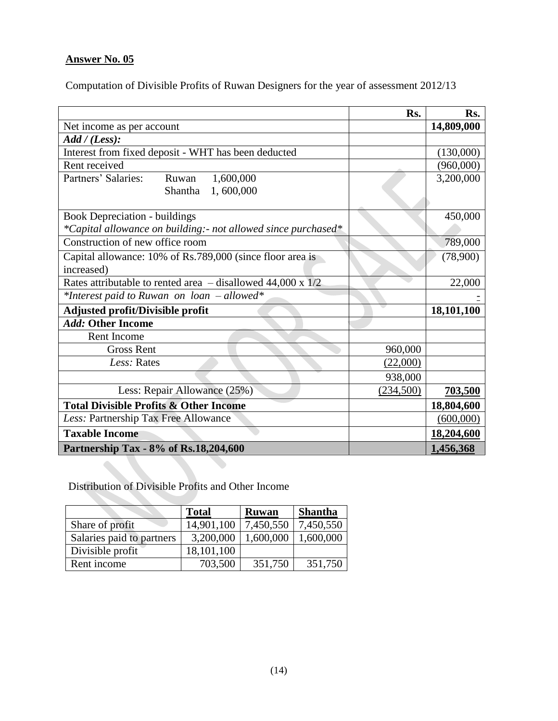Computation of Divisible Profits of Ruwan Designers for the year of assessment 2012/13

|                                                                 | Rs.       | Rs.        |
|-----------------------------------------------------------------|-----------|------------|
| Net income as per account                                       |           | 14,809,000 |
| Add / (Less):                                                   |           |            |
| Interest from fixed deposit - WHT has been deducted             |           | (130,000)  |
| Rent received                                                   |           | (960,000)  |
| Partners' Salaries:<br>1,600,000<br>Ruwan                       |           | 3,200,000  |
| 1,600,000<br>Shantha                                            |           |            |
|                                                                 |           |            |
| <b>Book Depreciation - buildings</b>                            |           | 450,000    |
| *Capital allowance on building: - not allowed since purchased*  |           |            |
| Construction of new office room                                 |           | 789,000    |
| Capital allowance: 10% of Rs.789,000 (since floor area is       |           | (78,900)   |
| increased)                                                      |           |            |
| Rates attributable to rented area $-$ disallowed 44,000 x $1/2$ |           | 22,000     |
| *Interest paid to Ruwan on loan - allowed*                      |           |            |
| Adjusted profit/Divisible profit                                |           | 18,101,100 |
| Add: Other Income                                               |           |            |
| Rent Income                                                     |           |            |
| <b>Gross Rent</b>                                               | 960,000   |            |
| Less: Rates                                                     | (22,000)  |            |
|                                                                 | 938,000   |            |
| Less: Repair Allowance (25%)                                    | (234,500) | 703,500    |
| <b>Total Divisible Profits &amp; Other Income</b>               |           | 18,804,600 |
| Less: Partnership Tax Free Allowance                            |           | (600,000)  |
| <b>Taxable Income</b>                                           |           | 18,204,600 |
| Partnership Tax - 8% of Rs.18,204,600                           |           | 1,456,368  |

Distribution of Divisible Profits and Other Income

|                           | <b>Total</b> | <b>Ruwan</b> | <b>Shantha</b> |
|---------------------------|--------------|--------------|----------------|
| Share of profit           | 14,901,100   | 7,450,550    | 7,450,550      |
| Salaries paid to partners | 3,200,000    | 1,600,000    | 1,600,000      |
| Divisible profit          | 18,101,100   |              |                |
| Rent income               | 703,500      | 351,750      | 351,750        |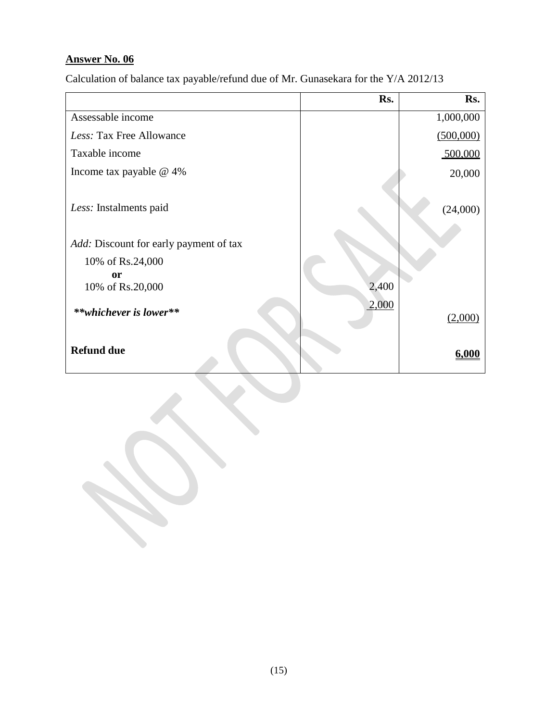Calculation of balance tax payable/refund due of Mr. Gunasekara for the Y/A 2012/13

|                                        | Rs.   | Rs.       |
|----------------------------------------|-------|-----------|
| Assessable income                      |       | 1,000,000 |
| Less: Tax Free Allowance               |       | (500,000) |
| Taxable income                         |       | 500,000   |
| Income tax payable $@$ 4%              |       | 20,000    |
| Less: Instalments paid                 |       | (24,000)  |
| Add: Discount for early payment of tax |       |           |
| 10% of Rs.24,000                       |       |           |
| <b>or</b><br>10% of Rs.20,000          | 2,400 |           |
| **whichever is lower**                 | 2,000 | (2,000)   |
| <b>Refund due</b>                      |       | 6.000     |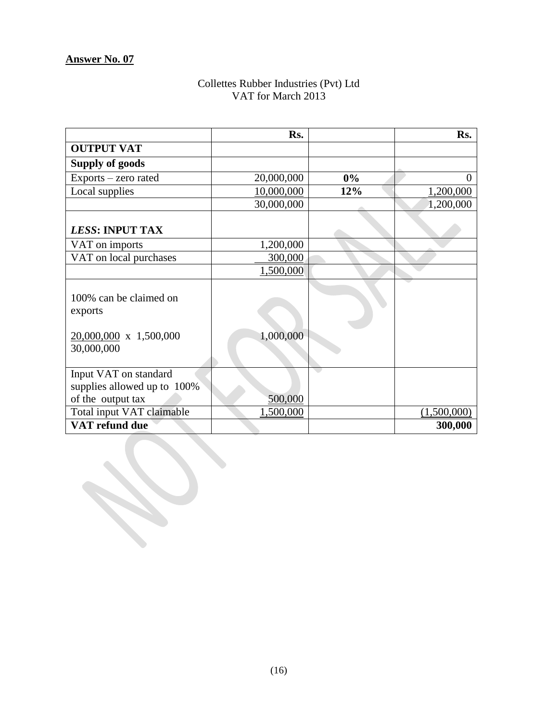#### Collettes Rubber Industries (Pvt) Ltd VAT for March 2013

|                                                                                  | Rs.        |     | Rs.         |
|----------------------------------------------------------------------------------|------------|-----|-------------|
| <b>OUTPUT VAT</b>                                                                |            |     |             |
| <b>Supply of goods</b>                                                           |            |     |             |
| Exports – zero rated                                                             | 20,000,000 | 0%  | 0           |
| Local supplies                                                                   | 10,000,000 | 12% | 1,200,000   |
|                                                                                  | 30,000,000 |     | 1,200,000   |
| LESS: INPUT TAX                                                                  |            |     |             |
| VAT on imports                                                                   | 1,200,000  |     |             |
| VAT on local purchases                                                           | 300,000    |     |             |
|                                                                                  | 1,500,000  |     |             |
| 100% can be claimed on<br>exports<br>$20,000,000 \times 1,500,000$<br>30,000,000 | 1,000,000  |     |             |
| Input VAT on standard<br>supplies allowed up to 100%<br>of the output tax        | 500,000    |     |             |
| Total input VAT claimable                                                        | 1,500,000  |     | (1,500,000) |
| VAT refund due                                                                   |            |     | 300,000     |